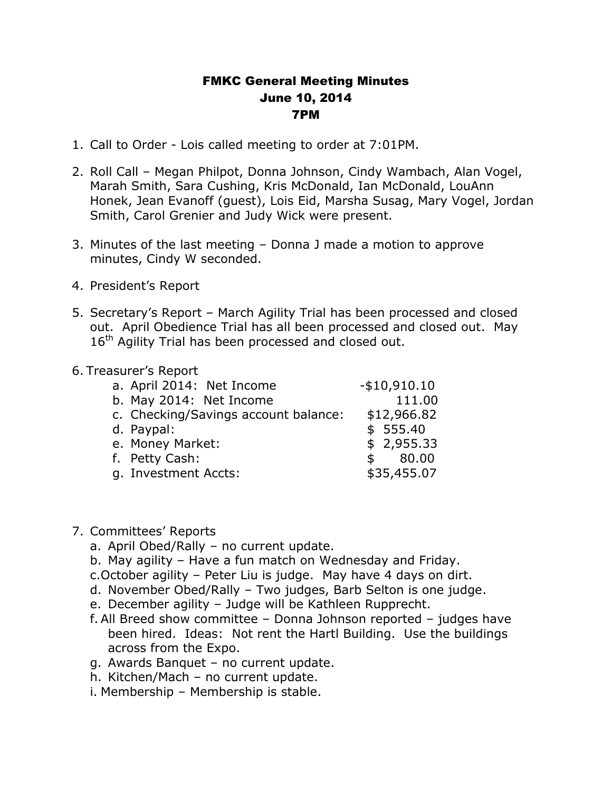## FMKC General Meeting Minutes June 10, 2014 7PM

- 1. Call to Order Lois called meeting to order at 7:01PM.
- 2. Roll Call Megan Philpot, Donna Johnson, Cindy Wambach, Alan Vogel, Marah Smith, Sara Cushing, Kris McDonald, Ian McDonald, LouAnn Honek, Jean Evanoff (guest), Lois Eid, Marsha Susag, Mary Vogel, Jordan Smith, Carol Grenier and Judy Wick were present.
- 3. Minutes of the last meeting Donna J made a motion to approve minutes, Cindy W seconded.
- 4. President's Report
- 5. Secretary's Report March Agility Trial has been processed and closed out. April Obedience Trial has all been processed and closed out. May  $16<sup>th</sup>$  Agility Trial has been processed and closed out.

## 6. Treasurer's Report

| a. April 2014: Net Income            | $-$10,910.10$         |
|--------------------------------------|-----------------------|
| b. May 2014: Net Income              | 111.00                |
| c. Checking/Savings account balance: | \$12,966.82           |
| d. Paypal:                           | \$555.40              |
| e. Money Market:                     | \$2,955.33            |
| f. Petty Cash:                       | 80.00<br>$\mathsf{s}$ |
| g. Investment Accts:                 | \$35,455.07           |
|                                      |                       |

## 7. Committees' Reports

- a. April Obed/Rally no current update.
- b. May agility Have a fun match on Wednesday and Friday.
- c.October agility Peter Liu is judge. May have 4 days on dirt.
- d. November Obed/Rally Two judges, Barb Selton is one judge.
- e. December agility Judge will be Kathleen Rupprecht.
- f. All Breed show committee Donna Johnson reported judges have been hired. Ideas: Not rent the Hartl Building. Use the buildings across from the Expo.
- g. Awards Banquet no current update.
- h. Kitchen/Mach no current update.
- i. Membership Membership is stable.